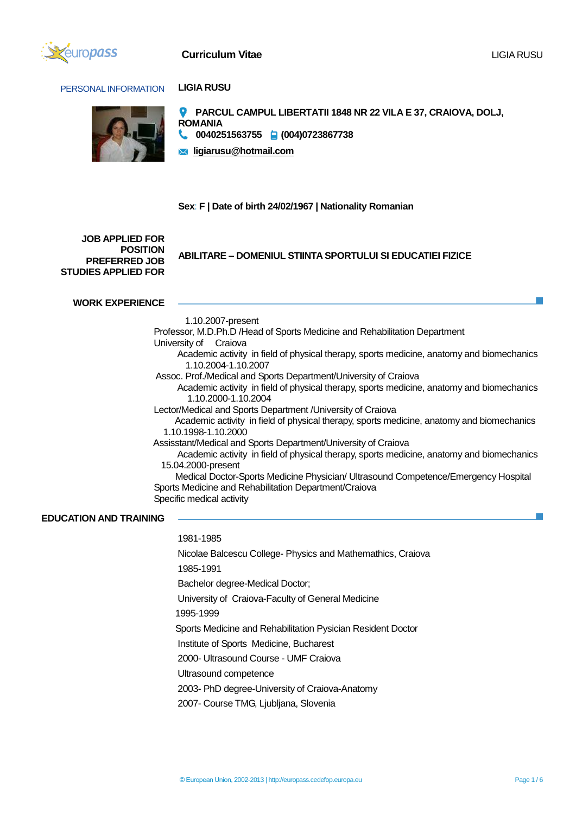

# **Curriculum Vitae** Ligitation of the Ligitation of the Ligitation of Ligitation of Ligitation of Ligitation of Li

## PERSONAL INFORMATION **LIGIA RUSU**





- **PARCUL CAMPUL LIBERTATII 1848 NR 22 VILA E 37, CRAIOVA, DOLJ, ROMANIA**
- **0040251563755 (004)0723867738**

**ligiarusu@hotmail.com**

# **Sex**: **F | Date of birth 24/02/1967 | Nationality Romanian**

**JOB APPLIED FOR POSITION PREFERRED JOB STUDIES APPLIED FOR**

**ABILITARE – DOMENIUL STIINTA SPORTULUI SI EDUCATIEI FIZICE**

## **WORK EXPERIENCE**

1.10.2007-present

 Professor, M.D.Ph.D /Head of Sports Medicine and Rehabilitation Department University of Craiova Academic activity in field of physical therapy, sports medicine, anatomy and biomechanics 1.10.2004-1.10.2007 Assoc. Prof./Medical and Sports Department/University of Craiova Academic activity in field of physical therapy, sports medicine, anatomy and biomechanics 1.10.2000-1.10.2004 Lector/Medical and Sports Department /University of Craiova Academic activity in field of physical therapy, sports medicine, anatomy and biomechanics 1.10.1998-1.10.2000 Assisstant/Medical and Sports Department/University of Craiova Academic activity in field of physical therapy, sports medicine, anatomy and biomechanics 15.04.2000-present Medical Doctor-Sports Medicine Physician/ Ultrasound Competence/Emergency Hospital Sports Medicine and Rehabilitation Department/Craiova Specific medical activity

#### **EDUCATION AND TRAINING**

 1981-1985 Nicolae Balcescu College- Physics and Mathemathics, Craiova 1985-1991 Bachelor degree-Medical Doctor; University of Craiova-Faculty of General Medicine 1995-1999 Sports Medicine and Rehabilitation Pysician Resident Doctor Institute of Sports Medicine, Bucharest 2000- Ultrasound Course - UMF Craiova Ultrasound competence 2003- PhD degree-University of Craiova-Anatomy 2007- Course TMG, Ljubljana, Slovenia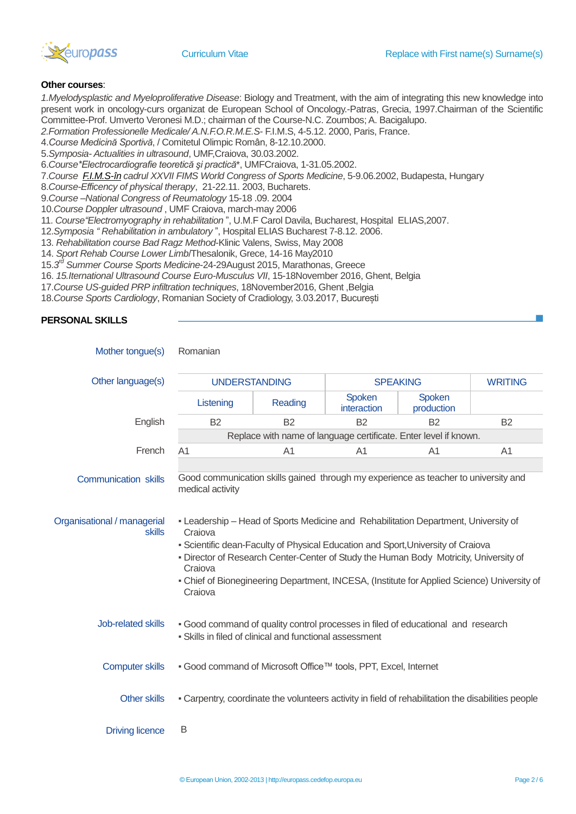

## **Other courses**:

*1.Myelodysplastic and Myeloproliferative Disease*: Biology and Treatment, with the aim of integrating this new knowledge into present work in oncology-curs organizat de European School of Oncology.-Patras, Grecia, 1997.Chairman of the Scientific Committee-Prof. Umverto Veronesi M.D.; chairman of the Course-N.C. Zoumbos; A. Bacigalupo.

*2.Formation Professionelle Medicale/ A.N.F.O.R.M.E.S*- F.I.M.S, 4-5.12. 2000, Paris, France.

4.*Course Medicină Sportivă*, / Comitetul Olimpic Român, 8-12.10.2000.

5.*Symposia- Actualities in ultrasound*, UMF,Craiova, 30.03.2002.

6.*Course\*Electrocardiografie teoretică şi practică*\*, UMFCraiova, 1-31.05.2002.

7.*Course [F.I.M.S-în](mailto:F.I.M.S-@n) cadrul XXVII FIMS World Congress of Sports Medicine*, 5-9.06.2002, Budapesta, Hungary

8.*Course-Efficency of physical therapy*, 21-22.11. 2003, Bucharets.

9.*Course –National Congress of Reumatology* 15-18 .09. 2004

10.*Course Doppler ultrasound* , UMF Craiova, march-may 2006

11. *Course"Electromyography in rehabilitation* ", U.M.F Carol Davila, Bucharest, Hospital ELIAS,2007.

12.*Symposia " Rehabilitation in ambulatory* ", Hospital ELIAS Bucharest 7-8.12. 2006.

13. *Rehabilitation course Bad Ragz Method*-Klinic Valens, Swiss, May 2008

14. *Sport Rehab Course Lower Limb*/Thesalonik, Grece, 14-16 May2010

15.*3 rd Summer Course Sports Medicine*-24-29August 2015, Marathonas, Greece

16. *15.Iternational Ultrasound Course Euro-Musculus VII*, 15-18November 2016, Ghent, Belgia

17.*Course US-guided PRP infiltration techniques*, 18November2016, Ghent ,Belgia

18.*Course Sports Cardiology*, Romanian Society of Cradiology, 3.03.2017, București

# **PERSONAL SKILLS**

| Mother tongue(s)                             | Romanian                                                                                                                                                                                                                                                                                                                                                                                         |                |                       |                      |                |
|----------------------------------------------|--------------------------------------------------------------------------------------------------------------------------------------------------------------------------------------------------------------------------------------------------------------------------------------------------------------------------------------------------------------------------------------------------|----------------|-----------------------|----------------------|----------------|
| Other language(s)                            | <b>UNDERSTANDING</b>                                                                                                                                                                                                                                                                                                                                                                             |                | <b>SPEAKING</b>       |                      | <b>WRITING</b> |
|                                              | Listening                                                                                                                                                                                                                                                                                                                                                                                        | Reading        | Spoken<br>interaction | Spoken<br>production |                |
| English                                      | <b>B2</b>                                                                                                                                                                                                                                                                                                                                                                                        | <b>B2</b>      | <b>B2</b>             | <b>B2</b>            | <b>B2</b>      |
|                                              | Replace with name of language certificate. Enter level if known.                                                                                                                                                                                                                                                                                                                                 |                |                       |                      |                |
| French                                       | A <sub>1</sub>                                                                                                                                                                                                                                                                                                                                                                                   | A <sub>1</sub> | A <sub>1</sub>        | A <sub>1</sub>       | A <sub>1</sub> |
| <b>Communication skills</b>                  | Good communication skills gained through my experience as teacher to university and<br>medical activity                                                                                                                                                                                                                                                                                          |                |                       |                      |                |
| Organisational / managerial<br><b>skills</b> | - Leadership - Head of Sports Medicine and Rehabilitation Department, University of<br>Craiova<br>- Scientific dean-Faculty of Physical Education and Sport, University of Craiova<br>- Director of Research Center-Center of Study the Human Body Motricity, University of<br>Craiova<br>- Chief of Bionegineering Department, INCESA, (Institute for Applied Science) University of<br>Craiova |                |                       |                      |                |
| Job-related skills                           | - Good command of quality control processes in filed of educational and research<br>• Skills in filed of clinical and functional assessment                                                                                                                                                                                                                                                      |                |                       |                      |                |
| <b>Computer skills</b>                       | . Good command of Microsoft Office™ tools, PPT, Excel, Internet                                                                                                                                                                                                                                                                                                                                  |                |                       |                      |                |
| <b>Other skills</b>                          | - Carpentry, coordinate the volunteers activity in field of rehabilitation the disabilities people                                                                                                                                                                                                                                                                                               |                |                       |                      |                |
| <b>Driving licence</b>                       | B                                                                                                                                                                                                                                                                                                                                                                                                |                |                       |                      |                |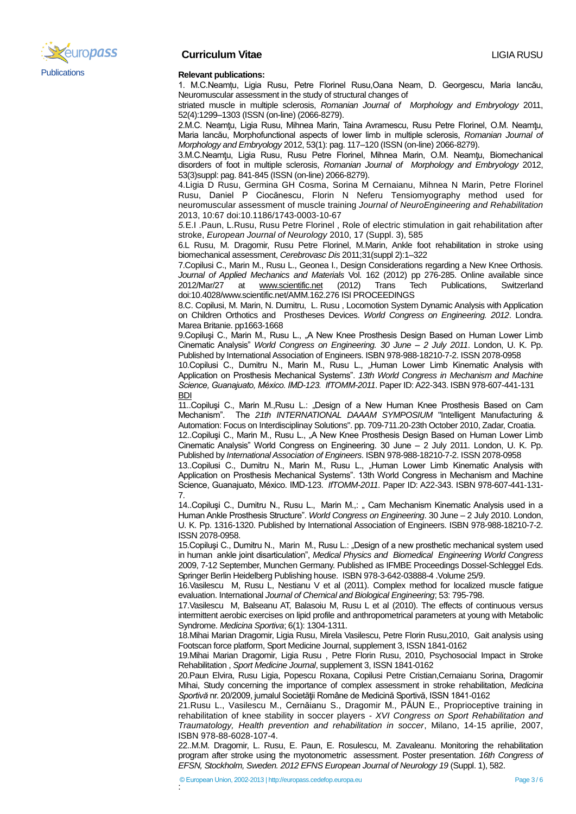

# **Curriculum Vitae** LIGIA RUSU

1. M.C.Neamțu, Ligia Rusu, Petre Florinel Rusu,Oana Neam, D. Georgescu, Maria Iancău, Neuromuscular assessment in the study of structural changes of

striated muscle in multiple sclerosis, *Romanian Journal of Morphology and Embryology* 2011, 52(4):1299–1303 (ISSN (on-line) (2066-8279).

2.M.C. Neamţu, Ligia Rusu, Mihnea Marin, Taina Avramescu, Rusu Petre Florinel, O.M. Neamţu, Maria Iancău, Morphofunctional aspects of lower limb in multiple sclerosis, *Romanian Journal of Morphology and Embryology* 2012, 53(1): pag. 117–120 (ISSN (on-line) 2066-8279).

3.M.C.Neamţu, Ligia Rusu, Rusu Petre Florinel, Mihnea Marin, O.M. Neamţu, Biomechanical disorders of foot in multiple sclerosis, *Romanian Journal of Morphology and Embryology* 2012, 53(3)suppl: pag. 841-845 (ISSN (on-line) 2066-8279).

4.Ligia D Rusu, Germina GH Cosma, Sorina M Cernaianu, Mihnea N Marin, Petre Florinel Rusu, Daniel P Ciocănescu, Florin N Neferu Tensiomyography method used for neuromuscular assessment of muscle training *Journal of NeuroEngineering and Rehabilitation* 2013, 10:67 doi:10.1186/1743-0003-10-67

*5.*E.I .Paun, L.Rusu, Rusu Petre Florinel , Role of electric stimulation in gait rehabilitation after stroke, *European Journal of Neurology* 2010, 17 (Suppl. 3), 585

6.L Rusu, M. Dragomir, Rusu Petre Florinel, M.Marin, Ankle foot rehabilitation in stroke using biomechanical assessment, *Cerebrovasc Dis* 2011;31(suppl 2):1–322

7.Copilusi C., Marin M., Rusu L., Geonea I., Design Considerations regarding a New Knee Orthosis. *Journal of Applied Mechanics and Materials* Vol. 162 (2012) pp 276-285. Online available since 2012/Mar/27 at [www.scientific.net](http://www.scientific.net/) (2012) Trans Tech Publications, Switzerland doi:10.4028/www.scientific.net/AMM.162.276 ISI PROCEEDINGS

8.C. Copilusi, M. Marin, N. Dumitru, L. Rusu , Locomotion System Dynamic Analysis with Application on Children Orthotics and Prostheses Devices. *World Congress on Engineering. 2012*. Londra. Marea Britanie. pp1663-1668

9.Copiluşi C., Marin M., Rusu L., "A New Knee Prosthesis Design Based on Human Lower Limb Cinematic Analysis" *World Congress on Engineering. 30 June – 2 July 2011*. London, U. K. Pp. Published by International Association of Engineers. ISBN 978-988-18210-7-2. ISSN 2078-0958

10.Copilusi C., Dumitru N., Marin M., Rusu L., "Human Lower Limb Kinematic Analysis with Application on Prosthesis Mechanical Systems". *13th World Congress in Mechanism and Machine Science, Guanajuato, México. IMD-123. IfTOMM-2011*. Paper ID: A22-343. ISBN 978-607-441-131 BDI

11..Copiluşi C., Marin M.,Rusu L.: "Design of a New Human Knee Prosthesis Based on Cam Mechanism". The *21th INTERNATIONAL DAAAM SYMPOSIUM* "Intelligent Manufacturing & Automation: Focus on Interdisciplinay Solutions". pp. 709-711.20-23th October 2010, Zadar, Croatia.

12..Copiluşi C., Marin M., Rusu L., "A New Knee Prosthesis Design Based on Human Lower Limb Cinematic Analysis" World Congress on Engineering. 30 June – 2 July 2011. London, U. K. Pp. Published by *International Association of Engineers*. ISBN 978-988-18210-7-2. ISSN 2078-0958

13..Copilusi C., Dumitru N., Marin M., Rusu L., "Human Lower Limb Kinematic Analysis with Application on Prosthesis Mechanical Systems". 13th World Congress in Mechanism and Machine Science, Guanajuato, México. IMD-123. *IfTOMM-2011*. Paper ID: A22-343. ISBN 978-607-441-131- 7.

14..Copiluși C., Dumitru N., Rusu L., Marin M.,: " Cam Mechanism Kinematic Analysis used in a Human Ankle Prosthesis Structure". *World Congress on Engineering*. 30 June – 2 July 2010. London, U. K. Pp. 1316-1320. Published by International Association of Engineers. ISBN 978-988-18210-7-2. ISSN 2078-0958.

15.Copiluşi C., Dumitru N., Marin M., Rusu L.: "Design of a new prosthetic mechanical system used in human ankle joint disarticulation", *Medical Physics and Biomedical Engineering World Congress* 2009, 7-12 September, Munchen Germany. Published as IFMBE Proceedings Dossel-Schleggel Eds. Springer Berlin Heidelberg Publishing house. ISBN 978-3-642-03888-4 .Volume 25/9.

16.Vasilescu M, Rusu L, Nestianu V et al (2011). Complex method for localized muscle fatigue evaluation. International *Journal of Chemical and Biological Engineering*; 53: 795-798.

17.Vasilescu M, Balseanu AT, Balasoiu M, Rusu L et al (2010). The effects of continuous versus intermittent aerobic exercises on lipid profile and anthropometrical parameters at young with Metabolic Syndrome. *Medicina Sportiva*; 6(1): 1304-1311.

18.Mihai Marian Dragomir, Ligia Rusu, Mirela Vasilescu, Petre Florin Rusu,2010, Gait analysis using Footscan force platform, Sport Medicine Journal, supplement 3, ISSN 1841-0162

19.Mihai Marian Dragomir, Ligia Rusu , Petre Florin Rusu, 2010, Psychosocial Impact in Stroke Rehabilitation , *Sport Medicine Journal*, supplement 3, ISSN 1841-0162

20.Paun Elvira, Rusu Ligia, Popescu Roxana, Copilusi Petre Cristian,Cernaianu Sorina, Dragomir Mihai, Study concerning the importance of complex assessment in stroke rehabilitation, *Medicina*  Sportivă nr. 20/2009, jurnalul Societății Române de Medicină Sportivă, ISSN 1841-0162

21.Rusu L., Vasilescu M., Cernăianu S., Dragomir M., PĂUN E., Proprioceptive training in rehabilitation of knee stability in soccer players - *XVI Congress on Sport Rehabilitation and Traumatology, Health prevention and rehabilitation in soccer*, Milano, 14-15 aprilie, 2007, ISBN 978-88-6028-107-4.

22..M.M. Dragomir, L. Rusu, E. Paun, E. Rosulescu, M. Zavaleanu. Monitoring the rehabilitation program after stroke using the myotonometric assessment. Poster presentation. *16th Congress of*  **EFSN, Stockholm, Sweden. 2012 EFNS European Journal of Neurology 19 (Suppl. 1), 582.**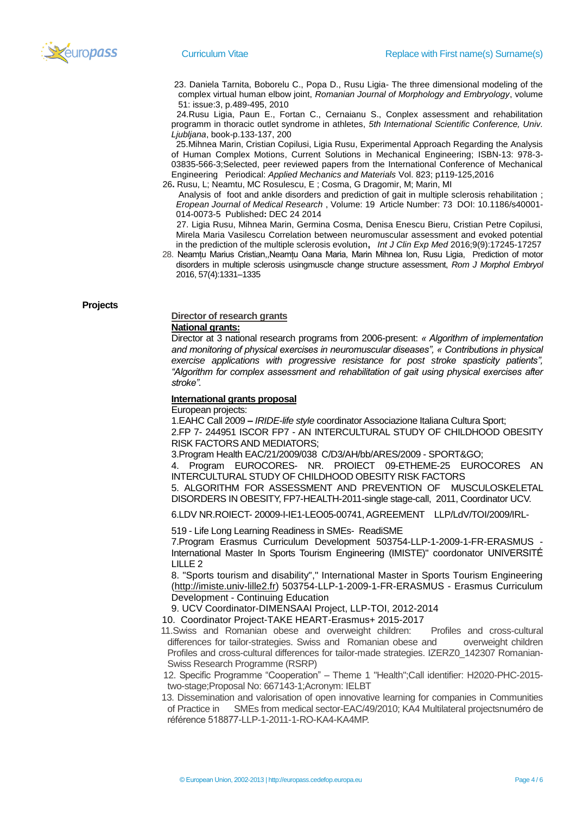

 23. Daniela Tarnita, Boborelu C., Popa D., Rusu Ligia- The three dimensional modeling of the complex virtual human elbow joint, *Romanian Journal of Morphology and Embryology*, volume 51: issue:3, p.489-495, 2010

 24.Rusu Ligia, Paun E., Fortan C., Cernaianu S., Conplex assessment and rehabilitation programm in thoracic outlet syndrome in athletes, *5th International Scientific Conference, Univ. Ljubljana*, book-p.133-137, 200

 25.Mihnea Marin, Cristian Copilusi, Ligia Rusu, Experimental Approach Regarding the Analysis of Human Complex Motions, Current Solutions in Mechanical Engineering; ISBN-13: 978-3- 03835-566-3;Selected, peer reviewed papers from the International Conference of Mechanical Engineering Periodical: *Applied Mechanics and Materials* Vol. 823; p119-125,2016

26**.** Rusu, L; Neamtu, MC Rosulescu, E ; Cosma, G Dragomir, M; Marin, MI

Analysis of foot and ankle disorders and prediction of gait in multiple sclerosis rehabilitation ; *Eropean Journal of Medical Research* , Volume: 19 Article Number: 73 DOI: 10.1186/s40001- 014-0073-5 Published**:** DEC 24 2014

 27. Ligia Rusu, Mihnea Marin, Germina Cosma, Denisa Enescu Bieru, Cristian Petre Copilusi, Mirela Maria Vasilescu Correlation between neuromuscular assessment and evoked potential in the prediction of the multiple sclerosis evolution**,** *Int J Clin Exp Med* 2016;9(9):17245-17257

 28. Neamțu Marius Cristian,,Neamțu Oana Maria, Marin Mihnea Ion, Rusu Ligia, Prediction of motor disorders in multiple sclerosis usingmuscle change structure assessment, *Rom J Morphol Embryol*  2016, 57(4):1331–1335

**Projects**

### **Director of research grants National grants:**

Director at 3 national research programs from 2006-present: *« Algorithm of implementation and monitoring of physical exercises in neuromuscular diseases", « Contributions in physical exercise applications with progressive resistance for post stroke spasticity patients", "Algorithm for complex assessment and rehabilitation of gait using physical exercises after stroke".* 

## **International grants proposal**

European projects:

1.EAHC Call 2009 **–** *IRIDE-life style* coordinator Associazione Italiana Cultura Sport;

2.FP 7- 244951 ISCOR FP7 - AN INTERCULTURAL STUDY OF CHILDHOOD OBESITY RISK FACTORS AND MEDIATORS;

3.Program Health EAC/21/2009/038 C/D3/AH/bb/ARES/2009 - SPORT&GO;

4. Program EUROCORES- NR. PROIECT 09-ETHEME-25 EUROCORES AN INTERCULTURAL STUDY OF CHILDHOOD OBESITY RISK FACTORS

5. ALGORITHM FOR ASSESSMENT AND PREVENTION OF MUSCULOSKELETAL DISORDERS IN OBESITY, FP7-HEALTH-2011-single stage-call, 2011, Coordinator UCV.

6.LDV NR.ROIECT- 20009-I-IE1-LEO05-00741, AGREEMENT LLP/LdV/TOI/2009/IRL-

519 - Life Long Learning Readiness in SMEs- ReadiSME

7.Program Erasmus Curriculum Development 503754-LLP-1-2009-1-FR-ERASMUS - International Master In Sports Tourism Engineering (IMISTE)" coordonator UNIVERSITÉ LILLE 2

8. "Sports tourism and disability"," International Master in Sports Tourism Engineering [\(http://imiste.univ-lille2.fr\)](http://imiste.univ-lille2.fr/) 503754-LLP-1-2009-1-FR-ERASMUS - Erasmus Curriculum Development - Continuing Education

9. UCV Coordinator-DIMENSAAI Project, LLP-TOI, 2012-2014

10. Coordinator Project-TAKE HEART-Erasmus+ 2015-2017

 11.Swiss and Romanian obese and overweight children: Profiles and cross-cultural differences for tailor-strategies. Swiss and Romanian obese and overweight children Profiles and cross-cultural differences for tailor-made strategies. IZERZ0\_142307 Romanian-Swiss Research Programme (RSRP)

 12. Specific Programme "Cooperation" – Theme 1 "Health";Call identifier: H2020-PHC-2015 two-stage;Proposal No: 667143-1;Acronym: IELBT

 13. Dissemination and valorisation of open innovative learning for companies in Communities of Practice in SMEs from medical sector-EAC/49/2010; KA4 Multilateral projectsnuméro de référence 518877-LLP-1-2011-1-RO-KA4-KA4MP.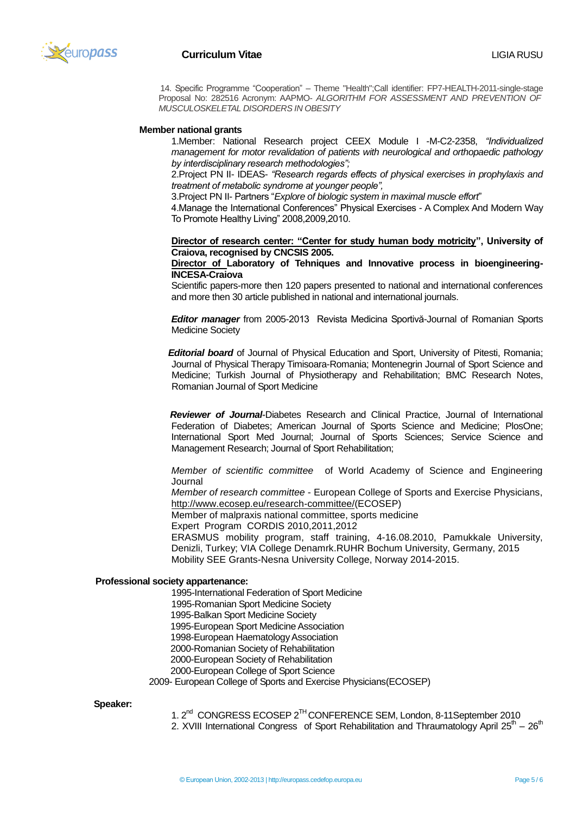

 14. Specific Programme "Cooperation" – Theme "Health";Call identifier: FP7-HEALTH-2011-single-stage Proposal No: 282516 Acronym: AAPMO- *ALGORITHM FOR ASSESSMENT AND PREVENTION OF MUSCULOSKELETAL DISORDERS IN OBESITY*

### **Member national grants**

1.Member: National Research project CEEX Module I -M-C2-2358, *"Individualized management for motor revalidation of patients with neurological and orthopaedic pathology by interdisciplinary research methodologies";*

2.Project PN II- IDEAS- *"Research regards effects of physical exercises in prophylaxis and treatment of metabolic syndrome at younger people",*

3.Project PN II- Partners "*Explore of biologic system in maximal muscle effort*"

4.Manage the International Conferences" Physical Exercises - A Complex And Modern Way To Promote Healthy Living" 2008,2009,2010.

**Director of research center: "Center for study human body motricity", University of Craiova, recognised by CNCSIS 2005.**

**Director of Laboratory of Tehniques and Innovative process in bioengineering-INCESA-Craiova**

Scientific papers-more then 120 papers presented to national and international conferences and more then 30 article published in national and international journals.

*Editor manager* from 2005-2013 Revista Medicina Sportivă-Journal of Romanian Sports Medicine Society

 *Editorial board* of Journal of Physical Education and Sport, University of Pitesti, Romania; Journal of Physical Therapy Timisoara-Romania; Montenegrin Journal of Sport Science and Medicine; Turkish Journal of Physiotherapy and Rehabilitation; BMC Research Notes, Romanian Journal of Sport Medicine

*Reviewer of Journal-Diabetes Research and Clinical Practice, Journal of International* Federation of Diabetes; American Journal of Sports Science and Medicine; PlosOne; International Sport Med Journal; Journal of Sports Sciences; Service Science and Management Research; Journal of Sport Rehabilitation;

*Member of scientific committee* of World Academy of Science and Engineering Journal

*Member of research committee* - European College of Sports and Exercise Physicians, [http://www.ecosep.eu/research-committee/\(](http://www.ecosep.eu/research-committee/)ECOSEP)

Member of malpraxis national committee, sports medicine

Expert Program CORDIS 2010,2011,2012

ERASMUS mobility program, staff training, 4-16.08.2010, Pamukkale University, Denizli, Turkey; VIA College Denamrk.RUHR Bochum University, Germany, 2015 Mobility SEE Grants-Nesna University College, Norway 2014-2015.

#### **Professional society appartenance:**

1995-International Federation of Sport Medicine 1995-Romanian Sport Medicine Society 1995-Balkan Sport Medicine Society 1995-European Sport Medicine Association 1998-European Haematology Association 2000-Romanian Society of Rehabilitation 2000-European Society of Rehabilitation 2000-European College of Sport Science

2009- European College of Sports and Exercise Physicians(ECOSEP)

 **Speaker:**

- 1. 2<sup>nd</sup> CONGRESS ECOSEP 2<sup>TH</sup> CONFERENCE SEM, London, 8-11 September 2010
- 2. XVIII International Congress of Sport Rehabilitation and Thraumatology April  $25<sup>th</sup> 26<sup>th</sup>$